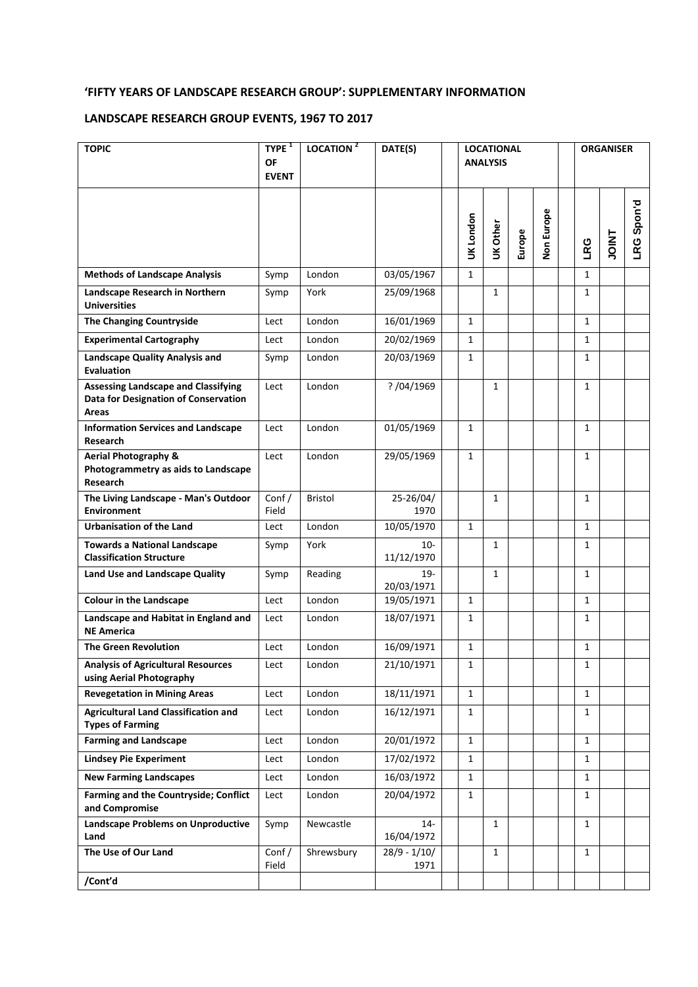# **'FIFTY YEARS OF LANDSCAPE RESEARCH GROUP': SUPPLEMENTARY INFORMATION**

# **LANDSCAPE RESEARCH GROUP EVENTS, 1967 TO 2017**

| <b>TOPIC</b>                                                                                | TYPE <sup>1</sup><br>OF<br><b>EVENT</b> | LOCATION <sup>2</sup> | DATE(S)                | <b>LOCATIONAL</b><br><b>ANALYSIS</b> |              |        |            |  | <b>ORGANISER</b> |              |                   |  |
|---------------------------------------------------------------------------------------------|-----------------------------------------|-----------------------|------------------------|--------------------------------------|--------------|--------|------------|--|------------------|--------------|-------------------|--|
|                                                                                             |                                         |                       |                        | UK London                            | UK Other     | Europe | Non Europe |  | LRG              | <b>TAIOL</b> | <b>LRG Spon'd</b> |  |
| <b>Methods of Landscape Analysis</b>                                                        | Symp                                    | London                | 03/05/1967             | $\mathbf{1}$                         |              |        |            |  | $\mathbf{1}$     |              |                   |  |
| Landscape Research in Northern<br><b>Universities</b>                                       | Symp                                    | York                  | 25/09/1968             |                                      | $\mathbf{1}$ |        |            |  | 1                |              |                   |  |
| <b>The Changing Countryside</b>                                                             | Lect                                    | London                | 16/01/1969             | $\mathbf{1}$                         |              |        |            |  | $\mathbf{1}$     |              |                   |  |
| <b>Experimental Cartography</b>                                                             | Lect                                    | London                | 20/02/1969             | $\mathbf{1}$                         |              |        |            |  | $\mathbf{1}$     |              |                   |  |
| <b>Landscape Quality Analysis and</b><br><b>Evaluation</b>                                  | Symp                                    | London                | 20/03/1969             | $\mathbf{1}$                         |              |        |            |  | $\mathbf{1}$     |              |                   |  |
| <b>Assessing Landscape and Classifying</b><br>Data for Designation of Conservation<br>Areas | Lect                                    | London                | ? /04/1969             |                                      | 1            |        |            |  | $\mathbf{1}$     |              |                   |  |
| <b>Information Services and Landscape</b><br>Research                                       | Lect                                    | London                | 01/05/1969             | $\mathbf{1}$                         |              |        |            |  | 1                |              |                   |  |
| <b>Aerial Photography &amp;</b><br>Photogrammetry as aids to Landscape<br>Research          | Lect                                    | London                | 29/05/1969             | $\mathbf{1}$                         |              |        |            |  | $\mathbf{1}$     |              |                   |  |
| The Living Landscape - Man's Outdoor<br><b>Environment</b>                                  | Conf/<br>Field                          | <b>Bristol</b>        | 25-26/04/<br>1970      |                                      | 1            |        |            |  | 1                |              |                   |  |
| <b>Urbanisation of the Land</b>                                                             | Lect                                    | London                | 10/05/1970             | $\mathbf{1}$                         |              |        |            |  | 1                |              |                   |  |
| <b>Towards a National Landscape</b><br><b>Classification Structure</b>                      | Symp                                    | York                  | $10-$<br>11/12/1970    |                                      | $\mathbf{1}$ |        |            |  | $\mathbf{1}$     |              |                   |  |
| Land Use and Landscape Quality                                                              | Symp                                    | Reading               | $19-$<br>20/03/1971    |                                      | $\mathbf{1}$ |        |            |  | $\mathbf{1}$     |              |                   |  |
| <b>Colour in the Landscape</b>                                                              | Lect                                    | London                | 19/05/1971             | $\mathbf{1}$                         |              |        |            |  | $\mathbf{1}$     |              |                   |  |
| Landscape and Habitat in England and<br><b>NE America</b>                                   | Lect                                    | London                | 18/07/1971             | $\mathbf{1}$                         |              |        |            |  | 1                |              |                   |  |
| <b>The Green Revolution</b>                                                                 | Lect                                    | London                | 16/09/1971             | $\mathbf{1}$                         |              |        |            |  | 1                |              |                   |  |
| <b>Analysis of Agricultural Resources</b><br>using Aerial Photography                       | Lect                                    | London                | 21/10/1971             | $\mathbf{1}$                         |              |        |            |  | $\mathbf{1}$     |              |                   |  |
| <b>Revegetation in Mining Areas</b>                                                         | Lect                                    | London                | 18/11/1971             | $\mathbf{1}$                         |              |        |            |  | $\mathbf{1}$     |              |                   |  |
| <b>Agricultural Land Classification and</b><br><b>Types of Farming</b>                      | Lect                                    | London                | 16/12/1971             | $\mathbf{1}$                         |              |        |            |  | $\mathbf{1}$     |              |                   |  |
| <b>Farming and Landscape</b>                                                                | Lect                                    | London                | 20/01/1972             | $\mathbf{1}$                         |              |        |            |  | $\mathbf{1}$     |              |                   |  |
| <b>Lindsey Pie Experiment</b>                                                               | Lect                                    | London                | 17/02/1972             | $\mathbf{1}$                         |              |        |            |  | $\mathbf{1}$     |              |                   |  |
| <b>New Farming Landscapes</b>                                                               | Lect                                    | London                | 16/03/1972             | $\mathbf{1}$                         |              |        |            |  | $\mathbf{1}$     |              |                   |  |
| Farming and the Countryside; Conflict<br>and Compromise                                     | Lect                                    | London                | 20/04/1972             | $\mathbf{1}$                         |              |        |            |  | $\mathbf{1}$     |              |                   |  |
| <b>Landscape Problems on Unproductive</b><br>Land                                           | Symp                                    | Newcastle             | $14-$<br>16/04/1972    |                                      | $\mathbf{1}$ |        |            |  | $\mathbf{1}$     |              |                   |  |
| The Use of Our Land                                                                         | Conf/<br>Field                          | Shrewsbury            | $28/9 - 1/10/$<br>1971 |                                      | $\mathbf{1}$ |        |            |  | $\mathbf{1}$     |              |                   |  |
| /Cont'd                                                                                     |                                         |                       |                        |                                      |              |        |            |  |                  |              |                   |  |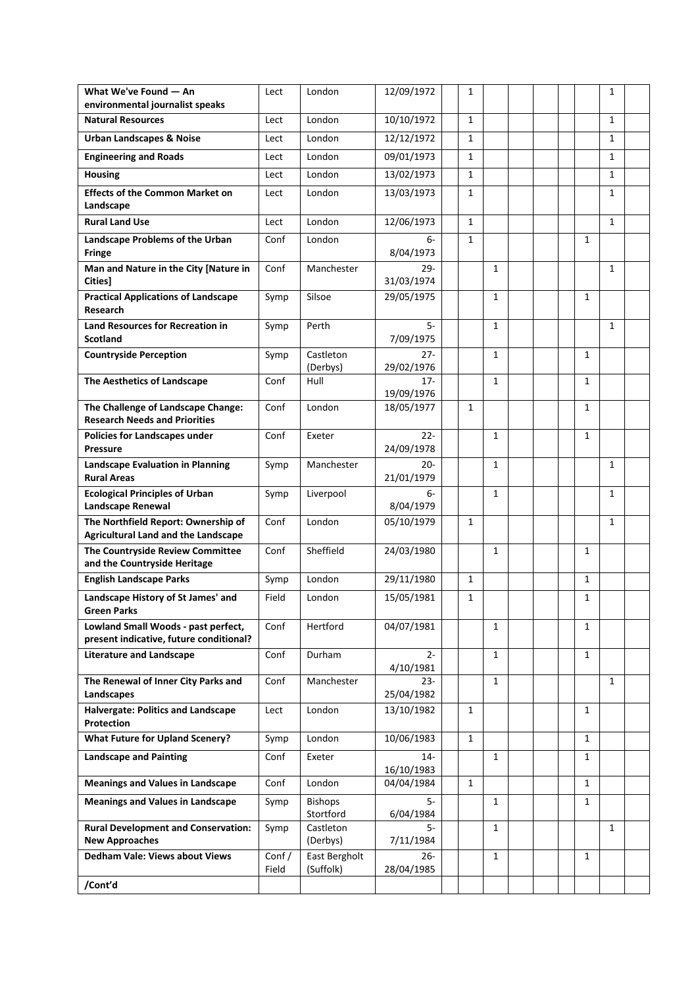| What We've Found - An                                                             | Lect           | London                     | 12/09/1972           | $\mathbf{1}$ |              |  |              | $\mathbf{1}$ |  |
|-----------------------------------------------------------------------------------|----------------|----------------------------|----------------------|--------------|--------------|--|--------------|--------------|--|
| environmental journalist speaks<br><b>Natural Resources</b>                       | Lect           | London                     | 10/10/1972           | $\mathbf{1}$ |              |  |              | $\mathbf{1}$ |  |
|                                                                                   |                | London                     |                      | $\mathbf{1}$ |              |  |              | $\mathbf{1}$ |  |
| <b>Urban Landscapes &amp; Noise</b>                                               | Lect           |                            | 12/12/1972           |              |              |  |              |              |  |
| <b>Engineering and Roads</b>                                                      | Lect           | London                     | 09/01/1973           | $\mathbf{1}$ |              |  |              | $\mathbf{1}$ |  |
| <b>Housing</b>                                                                    | Lect           | London                     | 13/02/1973           | $\mathbf{1}$ |              |  |              | 1            |  |
| <b>Effects of the Common Market on</b><br>Landscape                               | Lect           | London                     | 13/03/1973           | $\mathbf{1}$ |              |  |              | $\mathbf{1}$ |  |
| <b>Rural Land Use</b>                                                             | Lect           | London                     | 12/06/1973           | $\mathbf{1}$ |              |  |              | $\mathbf{1}$ |  |
| Landscape Problems of the Urban<br><b>Fringe</b>                                  | Conf           | London                     | 6-<br>8/04/1973      | $\mathbf{1}$ |              |  | 1            |              |  |
| Man and Nature in the City [Nature in<br><b>Cities</b> ]                          | Conf           | Manchester                 | $29 -$<br>31/03/1974 |              | $\mathbf{1}$ |  |              | $\mathbf{1}$ |  |
| <b>Practical Applications of Landscape</b><br><b>Research</b>                     | Symp           | Silsoe                     | 29/05/1975           |              | $\mathbf{1}$ |  | $\mathbf{1}$ |              |  |
| <b>Land Resources for Recreation in</b><br><b>Scotland</b>                        | Symp           | Perth                      | $5-$<br>7/09/1975    |              | 1            |  |              | $\mathbf{1}$ |  |
| <b>Countryside Perception</b>                                                     | Symp           | Castleton<br>(Derbys)      | $27 -$<br>29/02/1976 |              | 1            |  | 1            |              |  |
| The Aesthetics of Landscape                                                       | Conf           | Hull                       | $17 -$<br>19/09/1976 |              | $\mathbf{1}$ |  | 1            |              |  |
| The Challenge of Landscape Change:<br><b>Research Needs and Priorities</b>        | Conf           | London                     | 18/05/1977           | $\mathbf{1}$ |              |  | 1            |              |  |
| Policies for Landscapes under<br><b>Pressure</b>                                  | Conf           | Exeter                     | $22 -$<br>24/09/1978 |              | $\mathbf{1}$ |  | $\mathbf{1}$ |              |  |
| <b>Landscape Evaluation in Planning</b><br><b>Rural Areas</b>                     | Symp           | Manchester                 | $20 -$<br>21/01/1979 |              | $\mathbf{1}$ |  |              | 1            |  |
| <b>Ecological Principles of Urban</b><br>Landscape Renewal                        | Symp           | Liverpool                  | $6-$<br>8/04/1979    |              | $\mathbf{1}$ |  |              | 1            |  |
| The Northfield Report: Ownership of<br><b>Agricultural Land and the Landscape</b> | Conf           | London                     | 05/10/1979           | $\mathbf{1}$ |              |  |              | 1            |  |
| The Countryside Review Committee<br>and the Countryside Heritage                  | Conf           | Sheffield                  | 24/03/1980           |              | $\mathbf{1}$ |  | 1            |              |  |
| <b>English Landscape Parks</b>                                                    | Symp           | London                     | 29/11/1980           | $\mathbf{1}$ |              |  | $\mathbf{1}$ |              |  |
| Landscape History of St James' and<br>Green Parks                                 | Field          | London                     | 15/05/1981           | $\mathbf{1}$ |              |  | $\mathbf{1}$ |              |  |
| Lowland Small Woods - past perfect,<br>present indicative, future conditional?    | Conf           | Hertford                   | 04/07/1981           |              | 1            |  | 1            |              |  |
| <b>Literature and Landscape</b>                                                   | Conf           | Durham                     | $2 -$<br>4/10/1981   |              | $\mathbf{1}$ |  | $\mathbf{1}$ |              |  |
| The Renewal of Inner City Parks and<br>Landscapes                                 | Conf           | Manchester                 | $23 -$<br>25/04/1982 |              | $\mathbf{1}$ |  |              | 1            |  |
| Halvergate: Politics and Landscape<br>Protection                                  | Lect           | London                     | 13/10/1982           | $\mathbf{1}$ |              |  | 1            |              |  |
| <b>What Future for Upland Scenery?</b>                                            | Symp           | London                     | 10/06/1983           | $\mathbf{1}$ |              |  | $\mathbf{1}$ |              |  |
| <b>Landscape and Painting</b>                                                     | Conf           | Exeter                     | $14-$<br>16/10/1983  |              | $\mathbf{1}$ |  | 1            |              |  |
| <b>Meanings and Values in Landscape</b>                                           | Conf           | London                     | 04/04/1984           | $\mathbf{1}$ |              |  | $\mathbf{1}$ |              |  |
| <b>Meanings and Values in Landscape</b>                                           | Symp           | Bishops<br>Stortford       | 5-<br>6/04/1984      |              | $\mathbf{1}$ |  | $\mathbf{1}$ |              |  |
| <b>Rural Development and Conservation:</b><br><b>New Approaches</b>               | Symp           | Castleton<br>(Derbys)      | 5-<br>7/11/1984      |              | 1            |  |              | $\mathbf{1}$ |  |
| <b>Dedham Vale: Views about Views</b>                                             | Conf/<br>Field | East Bergholt<br>(Suffolk) | $26 -$<br>28/04/1985 |              | $\mathbf{1}$ |  | 1            |              |  |
| /Cont'd                                                                           |                |                            |                      |              |              |  |              |              |  |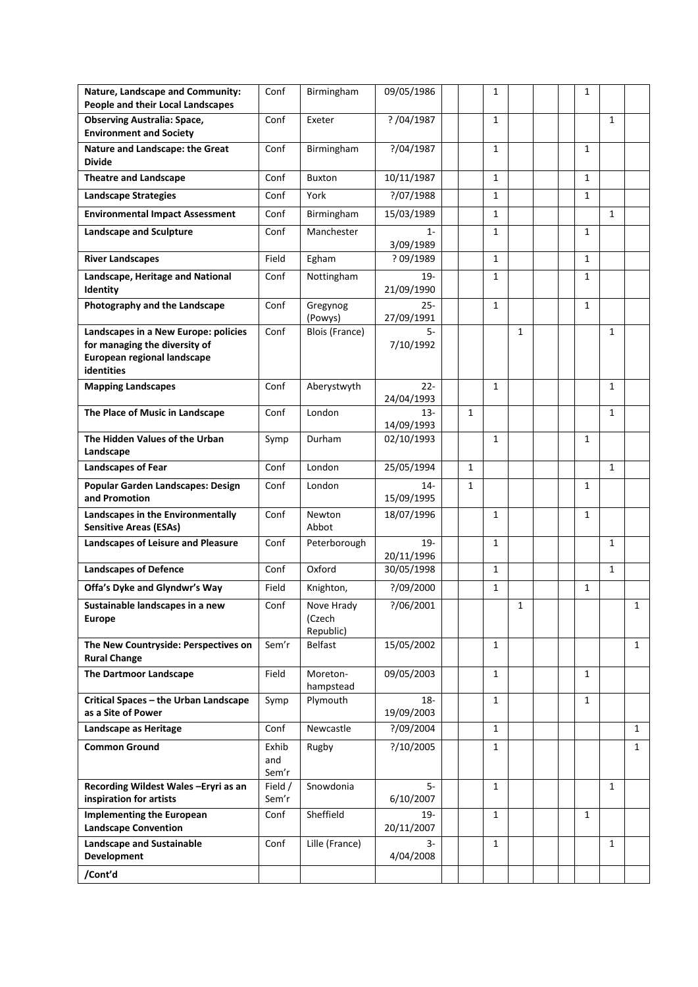| Nature, Landscape and Community:<br>People and their Local Landscapes                                              | Conf                  | Birmingham                        | 09/05/1986           |              | $\mathbf{1}$ |              |  | 1 |              |              |
|--------------------------------------------------------------------------------------------------------------------|-----------------------|-----------------------------------|----------------------|--------------|--------------|--------------|--|---|--------------|--------------|
| <b>Observing Australia: Space,</b><br><b>Environment and Society</b>                                               | Conf                  | Exeter                            | ? / 04 / 1987        |              | $\mathbf{1}$ |              |  |   | 1            |              |
| Nature and Landscape: the Great<br><b>Divide</b>                                                                   | Conf                  | Birmingham                        | ?/04/1987            |              | 1            |              |  | 1 |              |              |
| <b>Theatre and Landscape</b>                                                                                       | Conf                  | <b>Buxton</b>                     | 10/11/1987           |              | $\mathbf{1}$ |              |  | 1 |              |              |
| <b>Landscape Strategies</b>                                                                                        | Conf                  | York                              | ?/07/1988            |              | 1            |              |  | 1 |              |              |
| <b>Environmental Impact Assessment</b>                                                                             | Conf                  | Birmingham                        | 15/03/1989           |              | $\mathbf{1}$ |              |  |   | $\mathbf{1}$ |              |
| <b>Landscape and Sculpture</b>                                                                                     | Conf                  | Manchester                        | $1 -$<br>3/09/1989   |              | 1            |              |  | 1 |              |              |
| <b>River Landscapes</b>                                                                                            | Field                 | Egham                             | ? 09/1989            |              | $\mathbf{1}$ |              |  | 1 |              |              |
| Landscape, Heritage and National<br>Identity                                                                       | Conf                  | Nottingham                        | $19-$<br>21/09/1990  |              | 1            |              |  | 1 |              |              |
| Photography and the Landscape                                                                                      | Conf                  | Gregynog<br>(Powys)               | $25 -$<br>27/09/1991 |              | 1            |              |  | 1 |              |              |
| Landscapes in a New Europe: policies<br>for managing the diversity of<br>European regional landscape<br>identities | Conf                  | Blois (France)                    | 5-<br>7/10/1992      |              |              | $\mathbf{1}$ |  |   | 1            |              |
| <b>Mapping Landscapes</b>                                                                                          | Conf                  | Aberystwyth                       | $22 -$<br>24/04/1993 |              | $\mathbf{1}$ |              |  |   | 1            |              |
| The Place of Music in Landscape                                                                                    | Conf                  | London                            | $13 -$<br>14/09/1993 | $\mathbf{1}$ |              |              |  |   | $\mathbf{1}$ |              |
| The Hidden Values of the Urban<br>Landscape                                                                        | Symp                  | Durham                            | 02/10/1993           |              | $\mathbf{1}$ |              |  | 1 |              |              |
| Landscapes of Fear                                                                                                 | Conf                  | London                            | 25/05/1994           | $\mathbf{1}$ |              |              |  |   | $\mathbf{1}$ |              |
| Popular Garden Landscapes: Design<br>and Promotion                                                                 | Conf                  | London                            | $14-$<br>15/09/1995  | 1            |              |              |  | 1 |              |              |
| Landscapes in the Environmentally<br><b>Sensitive Areas (ESAs)</b>                                                 | Conf                  | Newton<br>Abbot                   | 18/07/1996           |              | 1            |              |  | 1 |              |              |
| Landscapes of Leisure and Pleasure                                                                                 | Conf                  | Peterborough                      | $19 -$<br>20/11/1996 |              | $\mathbf{1}$ |              |  |   | $\mathbf{1}$ |              |
| <b>Landscapes of Defence</b>                                                                                       | Conf                  | Oxford                            | 30/05/1998           |              | 1            |              |  |   | 1            |              |
| Offa's Dyke and Glyndwr's Way                                                                                      | Field                 | Knighton,                         | ?/09/2000            |              | 1            |              |  | 1 |              |              |
| Sustainable landscapes in a new<br><b>Europe</b>                                                                   | Conf                  | Nove Hrady<br>(Czech<br>Republic) | ?/06/2001            |              |              | 1            |  |   |              | $\mathbf{1}$ |
| The New Countryside: Perspectives on<br><b>Rural Change</b>                                                        | Sem'r                 | <b>Belfast</b>                    | 15/05/2002           |              | $\mathbf{1}$ |              |  |   |              | $\mathbf{1}$ |
| <b>The Dartmoor Landscape</b>                                                                                      | Field                 | Moreton-<br>hampstead             | 09/05/2003           |              | $\mathbf{1}$ |              |  | 1 |              |              |
| Critical Spaces - the Urban Landscape<br>as a Site of Power                                                        | Symp                  | Plymouth                          | 18-<br>19/09/2003    |              | $\mathbf{1}$ |              |  | 1 |              |              |
| Landscape as Heritage                                                                                              | Conf                  | Newcastle                         | ?/09/2004            |              | $\mathbf{1}$ |              |  |   |              | $\mathbf{1}$ |
| <b>Common Ground</b>                                                                                               | Exhib<br>and<br>Sem'r | Rugby                             | ?/10/2005            |              | 1            |              |  |   |              | 1            |
| Recording Wildest Wales-Eryri as an<br>inspiration for artists                                                     | Field /<br>Sem'r      | Snowdonia                         | 5-<br>6/10/2007      |              | $\mathbf{1}$ |              |  |   | $\mathbf{1}$ |              |
| <b>Implementing the European</b><br><b>Landscape Convention</b>                                                    | Conf                  | Sheffield                         | $19 -$<br>20/11/2007 |              | $\mathbf{1}$ |              |  | 1 |              |              |
| <b>Landscape and Sustainable</b>                                                                                   | Conf                  | Lille (France)                    | 3-                   |              | $\mathbf{1}$ |              |  |   | 1            |              |
| <b>Development</b>                                                                                                 |                       |                                   | 4/04/2008            |              |              |              |  |   |              |              |
| /Cont'd                                                                                                            |                       |                                   |                      |              |              |              |  |   |              |              |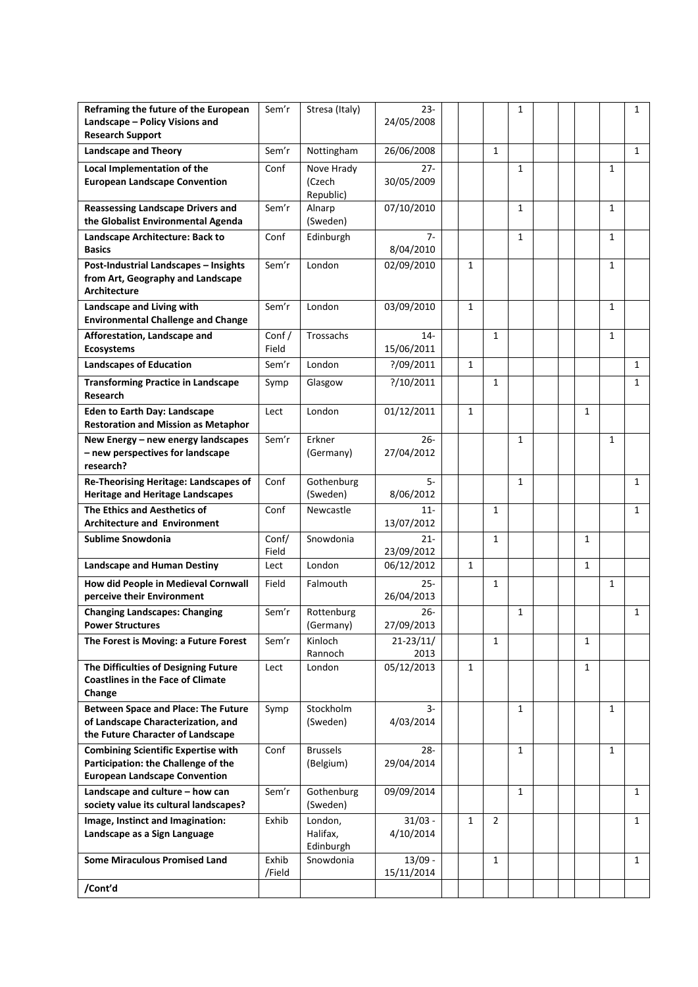| Reframing the future of the European<br>Landscape - Policy Visions and<br><b>Research Support</b>                         | Sem'r           | Stresa (Italy)                    | $23 -$<br>24/05/2008    |              |                | 1            |  |              |              | 1            |
|---------------------------------------------------------------------------------------------------------------------------|-----------------|-----------------------------------|-------------------------|--------------|----------------|--------------|--|--------------|--------------|--------------|
| <b>Landscape and Theory</b>                                                                                               | Sem'r           | Nottingham                        | 26/06/2008              |              | $\mathbf{1}$   |              |  |              |              | $\mathbf{1}$ |
| Local Implementation of the<br><b>European Landscape Convention</b>                                                       | Conf            | Nove Hrady<br>(Czech<br>Republic) | $27 -$<br>30/05/2009    |              |                | 1            |  |              | 1            |              |
| <b>Reassessing Landscape Drivers and</b><br>the Globalist Environmental Agenda                                            | Sem'r           | Alnarp<br>(Sweden)                | 07/10/2010              |              |                | $\mathbf{1}$ |  |              | $\mathbf{1}$ |              |
| Landscape Architecture: Back to<br><b>Basics</b>                                                                          | Conf            | Edinburgh                         | 7-<br>8/04/2010         |              |                | 1            |  |              | 1            |              |
| Post-Industrial Landscapes - Insights<br>from Art, Geography and Landscape<br><b>Architecture</b>                         | Sem'r           | London                            | 02/09/2010              | $\mathbf{1}$ |                |              |  |              | $\mathbf{1}$ |              |
| Landscape and Living with<br><b>Environmental Challenge and Change</b>                                                    | Sem'r           | London                            | 03/09/2010              | $\mathbf{1}$ |                |              |  |              | 1            |              |
| Afforestation, Landscape and<br><b>Ecosystems</b>                                                                         | Conf/<br>Field  | Trossachs                         | $14-$<br>15/06/2011     |              | 1              |              |  |              | 1            |              |
| <b>Landscapes of Education</b>                                                                                            | Sem'r           | London                            | ?/09/2011               | $\mathbf{1}$ |                |              |  |              |              | $\mathbf{1}$ |
| <b>Transforming Practice in Landscape</b><br>Research                                                                     | Symp            | Glasgow                           | ?/10/2011               |              | 1              |              |  |              |              | 1            |
| <b>Eden to Earth Day: Landscape</b><br><b>Restoration and Mission as Metaphor</b>                                         | Lect            | London                            | 01/12/2011              | $\mathbf{1}$ |                |              |  | $\mathbf{1}$ |              |              |
| New Energy - new energy landscapes<br>- new perspectives for landscape<br>research?                                       | Sem'r           | Erkner<br>(Germany)               | $26 -$<br>27/04/2012    |              |                | $\mathbf{1}$ |  |              | $\mathbf{1}$ |              |
| Re-Theorising Heritage: Landscapes of<br><b>Heritage and Heritage Landscapes</b>                                          | Conf            | Gothenburg<br>(Sweden)            | $5-$<br>8/06/2012       |              |                | 1            |  |              |              | $\mathbf{1}$ |
| The Ethics and Aesthetics of<br><b>Architecture and Environment</b>                                                       | Conf            | Newcastle                         | $11 -$<br>13/07/2012    |              | $\mathbf{1}$   |              |  |              |              | $\mathbf{1}$ |
| Sublime Snowdonia                                                                                                         | Conf/<br>Field  | Snowdonia                         | $21 -$<br>23/09/2012    |              | $\mathbf{1}$   |              |  | 1            |              |              |
| <b>Landscape and Human Destiny</b>                                                                                        | Lect            | London                            | 06/12/2012              | $\mathbf{1}$ |                |              |  | 1            |              |              |
| How did People in Medieval Cornwall<br>perceive their Environment                                                         | Field           | Falmouth                          | $25 -$<br>26/04/2013    |              | $\mathbf{1}$   |              |  |              | $\mathbf{1}$ |              |
| <b>Changing Landscapes: Changing</b><br><b>Power Structures</b>                                                           | Sem'r           | Rottenburg<br>(Germany)           | $26 -$<br>27/09/2013    |              |                | $\mathbf{1}$ |  |              |              | 1            |
| The Forest is Moving: a Future Forest                                                                                     | Sem'r           | Kinloch<br>Rannoch                | $21 - 23/11/$<br>2013   |              | 1              |              |  | 1            |              |              |
| The Difficulties of Designing Future<br><b>Coastlines in the Face of Climate</b><br>Change                                | Lect            | London                            | 05/12/2013              | $\mathbf{1}$ |                |              |  | 1            |              |              |
| <b>Between Space and Place: The Future</b><br>of Landscape Characterization, and<br>the Future Character of Landscape     | Symp            | Stockholm<br>(Sweden)             | 3-<br>4/03/2014         |              |                | 1            |  |              | $\mathbf{1}$ |              |
| <b>Combining Scientific Expertise with</b><br>Participation: the Challenge of the<br><b>European Landscape Convention</b> | Conf            | <b>Brussels</b><br>(Belgium)      | $28 -$<br>29/04/2014    |              |                | $\mathbf{1}$ |  |              | 1            |              |
| Landscape and culture - how can<br>society value its cultural landscapes?                                                 | Sem'r           | Gothenburg<br>(Sweden)            | 09/09/2014              |              |                | 1            |  |              |              | $\mathbf{1}$ |
| Image, Instinct and Imagination:<br>Landscape as a Sign Language                                                          | Exhib           | London,<br>Halifax,<br>Edinburgh  | $31/03 -$<br>4/10/2014  | $\mathbf{1}$ | $\overline{2}$ |              |  |              |              | $\mathbf{1}$ |
| <b>Some Miraculous Promised Land</b>                                                                                      | Exhib<br>/Field | Snowdonia                         | $13/09 -$<br>15/11/2014 |              | 1              |              |  |              |              | $\mathbf{1}$ |
| /Cont'd                                                                                                                   |                 |                                   |                         |              |                |              |  |              |              |              |